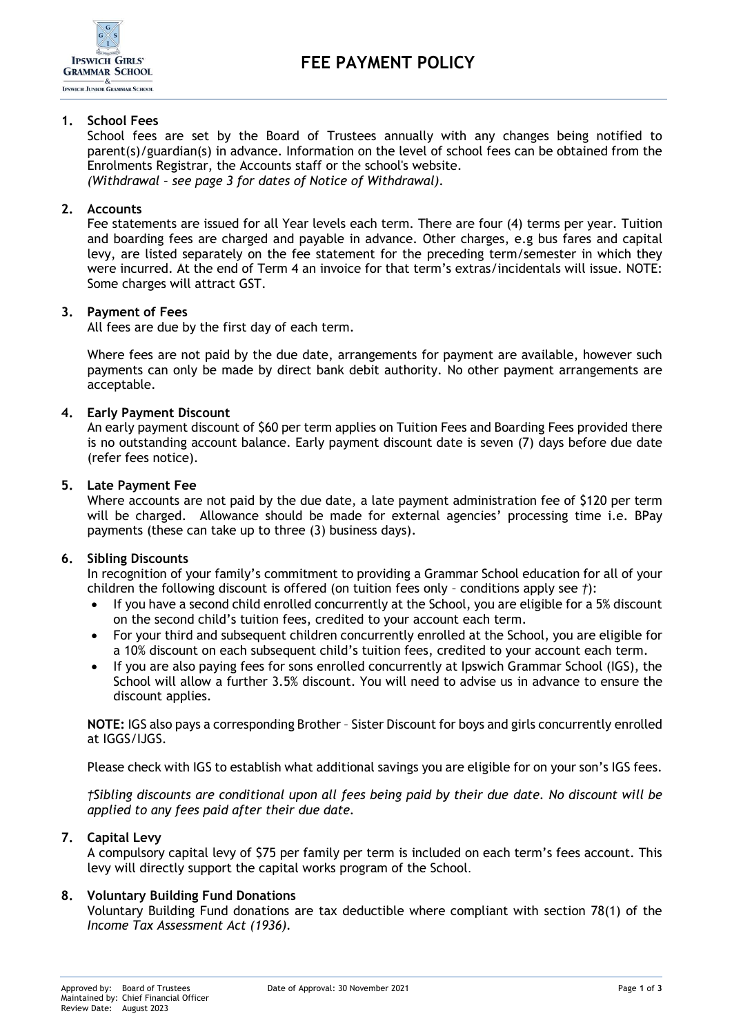

# **1. School Fees**

School fees are set by the Board of Trustees annually with any changes being notified to parent(s)/guardian(s) in advance. Information on the level of school fees can be obtained from the Enrolments Registrar, the Accounts staff or the school's website. *(Withdrawal – see page 3 for dates of Notice of Withdrawal).*

#### **2. Accounts**

Fee statements are issued for all Year levels each term. There are four (4) terms per year. Tuition and boarding fees are charged and payable in advance. Other charges, e.g bus fares and capital levy, are listed separately on the fee statement for the preceding term/semester in which they were incurred. At the end of Term 4 an invoice for that term's extras/incidentals will issue. NOTE: Some charges will attract GST.

#### **3. Payment of Fees**

All fees are due by the first day of each term.

Where fees are not paid by the due date, arrangements for payment are available, however such payments can only be made by direct bank debit authority. No other payment arrangements are acceptable.

# **4. Early Payment Discount**

An early payment discount of \$60 per term applies on Tuition Fees and Boarding Fees provided there is no outstanding account balance. Early payment discount date is seven (7) days before due date (refer fees notice).

#### **5. Late Payment Fee**

Where accounts are not paid by the due date, a late payment administration fee of \$120 per term will be charged. Allowance should be made for external agencies' processing time i.e. BPay payments (these can take up to three (3) business days).

#### **6. Sibling Discounts**

In recognition of your family's commitment to providing a Grammar School education for all of your children the following discount is offered (on tuition fees only – conditions apply see *†*):

- If you have a second child enrolled concurrently at the School, you are eligible for a 5% discount on the second child's tuition fees, credited to your account each term.
- For your third and subsequent children concurrently enrolled at the School, you are eligible for a 10% discount on each subsequent child's tuition fees, credited to your account each term.
- If you are also paying fees for sons enrolled concurrently at Ipswich Grammar School (IGS), the School will allow a further 3.5% discount. You will need to advise us in advance to ensure the discount applies.

**NOTE:** IGS also pays a corresponding Brother – Sister Discount for boys and girls concurrently enrolled at IGGS/IJGS.

Please check with IGS to establish what additional savings you are eligible for on your son's IGS fees.

*†Sibling discounts are conditional upon all fees being paid by their due date. No discount will be applied to any fees paid after their due date.*

#### **7. Capital Levy**

A compulsory capital levy of \$75 per family per term is included on each term's fees account. This levy will directly support the capital works program of the School.

# **8. Voluntary Building Fund Donations**

Voluntary Building Fund donations are tax deductible where compliant with section 78(1) of the *Income Tax Assessment Act (1936).*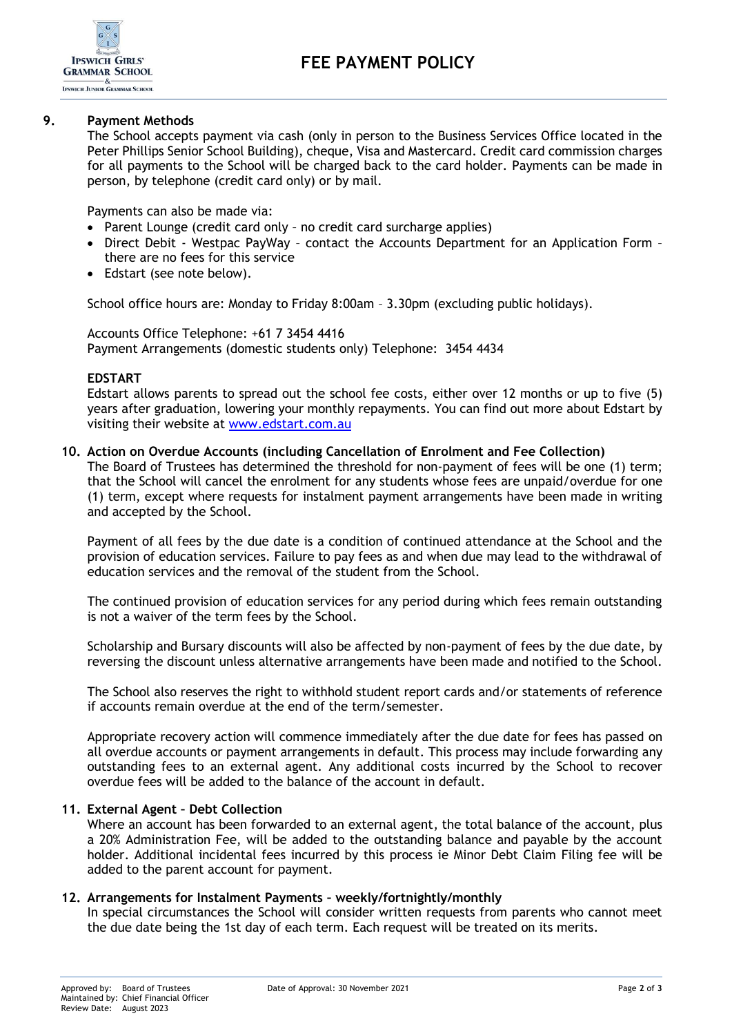

# **9. Payment Methods**

The School accepts payment via cash (only in person to the Business Services Office located in the Peter Phillips Senior School Building), cheque, Visa and Mastercard. Credit card commission charges for all payments to the School will be charged back to the card holder. Payments can be made in person, by telephone (credit card only) or by mail.

Payments can also be made via:

- Parent Lounge (credit card only no credit card surcharge applies)
- Direct Debit Westpac PayWay contact the Accounts Department for an Application Form there are no fees for this service
- Edstart (see note below).

School office hours are: Monday to Friday 8:00am – 3.30pm (excluding public holidays).

Accounts Office Telephone: +61 7 3454 4416 Payment Arrangements (domestic students only) Telephone: 3454 4434

# **EDSTART**

Edstart allows parents to spread out the school fee costs, either over 12 months or up to five (5) years after graduation, lowering your monthly repayments. You can find out more about Edstart by visiting their website at [www.edstart.com.au](http://www.edstart.com.au/)

# **10. Action on Overdue Accounts (including Cancellation of Enrolment and Fee Collection)**

The Board of Trustees has determined the threshold for non-payment of fees will be one (1) term; that the School will cancel the enrolment for any students whose fees are unpaid/overdue for one (1) term, except where requests for instalment payment arrangements have been made in writing and accepted by the School.

Payment of all fees by the due date is a condition of continued attendance at the School and the provision of education services. Failure to pay fees as and when due may lead to the withdrawal of education services and the removal of the student from the School.

The continued provision of education services for any period during which fees remain outstanding is not a waiver of the term fees by the School.

Scholarship and Bursary discounts will also be affected by non-payment of fees by the due date, by reversing the discount unless alternative arrangements have been made and notified to the School.

The School also reserves the right to withhold student report cards and/or statements of reference if accounts remain overdue at the end of the term/semester.

Appropriate recovery action will commence immediately after the due date for fees has passed on all overdue accounts or payment arrangements in default. This process may include forwarding any outstanding fees to an external agent. Any additional costs incurred by the School to recover overdue fees will be added to the balance of the account in default.

# **11. External Agent – Debt Collection**

Where an account has been forwarded to an external agent, the total balance of the account, plus a 20% Administration Fee, will be added to the outstanding balance and payable by the account holder. Additional incidental fees incurred by this process ie Minor Debt Claim Filing fee will be added to the parent account for payment.

# **12. Arrangements for Instalment Payments – weekly/fortnightly/monthly**

In special circumstances the School will consider written requests from parents who cannot meet the due date being the 1st day of each term. Each request will be treated on its merits.